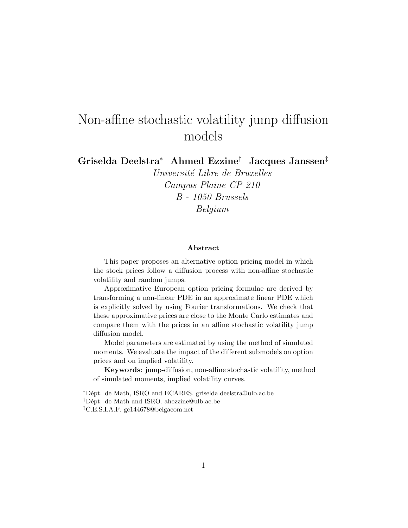# Non-affine stochastic volatility jump diffusion models

Griselda Deelstra<sup>∗</sup> Ahmed Ezzine† Jacques Janssen‡

Université Libre de Bruxelles Campus Plaine CP 210 B - 1050 Brussels Belgium

#### Abstract

This paper proposes an alternative option pricing model in which the stock prices follow a diffusion process with non-affine stochastic volatility and random jumps.

Approximative European option pricing formulae are derived by transforming a non-linear PDE in an approximate linear PDE which is explicitly solved by using Fourier transformations. We check that these approximative prices are close to the Monte Carlo estimates and compare them with the prices in an affine stochastic volatility jump diffusion model.

Model parameters are estimated by using the method of simulated moments. We evaluate the impact of the different submodels on option prices and on implied volatility.

Keywords: jump-diffusion, non-affine stochastic volatility, method of simulated moments, implied volatility curves.

<sup>∗</sup>D´ept. de Math, ISRO and ECARES. griselda.deelstra@ulb.ac.be

<sup>†</sup>D´ept. de Math and ISRO. ahezzine@ulb.ac.be

<sup>‡</sup>C.E.S.I.A.F. gc144678@belgacom.net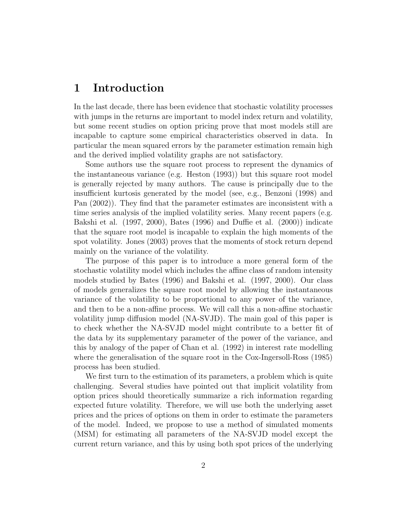### 1 Introduction

In the last decade, there has been evidence that stochastic volatility processes with jumps in the returns are important to model index return and volatility, but some recent studies on option pricing prove that most models still are incapable to capture some empirical characteristics observed in data. In particular the mean squared errors by the parameter estimation remain high and the derived implied volatility graphs are not satisfactory.

Some authors use the square root process to represent the dynamics of the instantaneous variance (e.g. Heston (1993)) but this square root model is generally rejected by many authors. The cause is principally due to the insufficient kurtosis generated by the model (see, e.g., Benzoni (1998) and Pan (2002)). They find that the parameter estimates are inconsistent with a time series analysis of the implied volatility series. Many recent papers (e.g. Bakshi et al. (1997, 2000), Bates (1996) and Duffie et al. (2000)) indicate that the square root model is incapable to explain the high moments of the spot volatility. Jones (2003) proves that the moments of stock return depend mainly on the variance of the volatility.

The purpose of this paper is to introduce a more general form of the stochastic volatility model which includes the affine class of random intensity models studied by Bates (1996) and Bakshi et al. (1997, 2000). Our class of models generalizes the square root model by allowing the instantaneous variance of the volatility to be proportional to any power of the variance, and then to be a non-affine process. We will call this a non-affine stochastic volatility jump diffusion model (NA-SVJD). The main goal of this paper is to check whether the NA-SVJD model might contribute to a better fit of the data by its supplementary parameter of the power of the variance, and this by analogy of the paper of Chan et al. (1992) in interest rate modelling where the generalisation of the square root in the Cox-Ingersoll-Ross (1985) process has been studied.

We first turn to the estimation of its parameters, a problem which is quite challenging. Several studies have pointed out that implicit volatility from option prices should theoretically summarize a rich information regarding expected future volatility. Therefore, we will use both the underlying asset prices and the prices of options on them in order to estimate the parameters of the model. Indeed, we propose to use a method of simulated moments (MSM) for estimating all parameters of the NA-SVJD model except the current return variance, and this by using both spot prices of the underlying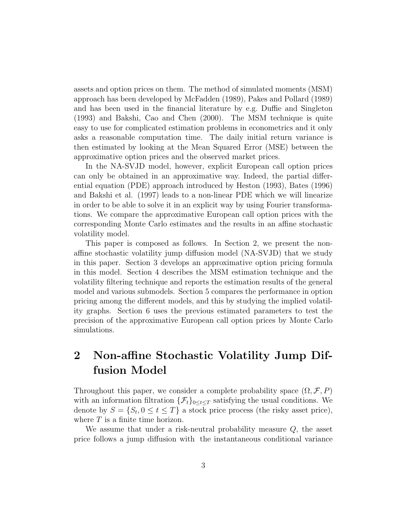assets and option prices on them. The method of simulated moments (MSM) approach has been developed by McFadden (1989), Pakes and Pollard (1989) and has been used in the financial literature by e.g. Duffie and Singleton (1993) and Bakshi, Cao and Chen (2000). The MSM technique is quite easy to use for complicated estimation problems in econometrics and it only asks a reasonable computation time. The daily initial return variance is then estimated by looking at the Mean Squared Error (MSE) between the approximative option prices and the observed market prices.

In the NA-SVJD model, however, explicit European call option prices can only be obtained in an approximative way. Indeed, the partial differential equation (PDE) approach introduced by Heston (1993), Bates (1996) and Bakshi et al. (1997) leads to a non-linear PDE which we will linearize in order to be able to solve it in an explicit way by using Fourier transformations. We compare the approximative European call option prices with the corresponding Monte Carlo estimates and the results in an affine stochastic volatility model.

This paper is composed as follows. In Section 2, we present the nonaffine stochastic volatility jump diffusion model (NA-SVJD) that we study in this paper. Section 3 develops an approximative option pricing formula in this model. Section 4 describes the MSM estimation technique and the volatility filtering technique and reports the estimation results of the general model and various submodels. Section 5 compares the performance in option pricing among the different models, and this by studying the implied volatility graphs. Section 6 uses the previous estimated parameters to test the precision of the approximative European call option prices by Monte Carlo simulations.

## 2 Non-affine Stochastic Volatility Jump Diffusion Model

Throughout this paper, we consider a complete probability space  $(\Omega, \mathcal{F}, P)$ with an information filtration  $\{\mathcal{F}_t\}_{0\leq t\leq T}$  satisfying the usual conditions. We denote by  $S = \{S_t, 0 \le t \le T\}$  a stock price process (the risky asset price), where  $T$  is a finite time horizon.

We assume that under a risk-neutral probability measure  $Q$ , the asset price follows a jump diffusion with the instantaneous conditional variance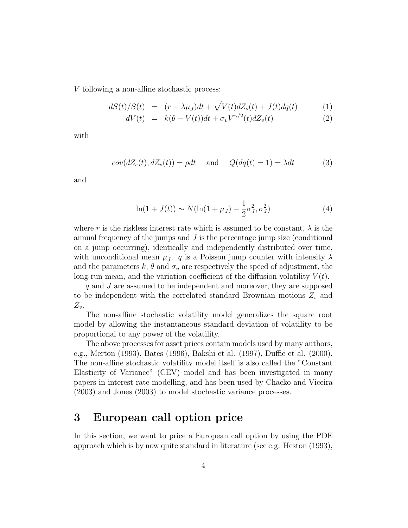V following a non-affine stochastic process:

$$
dS(t)/S(t) = (r - \lambda \mu_J)dt + \sqrt{V(t)}dZ_s(t) + J(t)dq(t)
$$
 (1)

$$
dV(t) = k(\theta - V(t))dt + \sigma_v V^{\gamma/2}(t) dZ_v(t)
$$
\n(2)

with

$$
cov(dZ_s(t), dZ_v(t)) = \rho dt \quad \text{and} \quad Q(dq(t) = 1) = \lambda dt \tag{3}
$$

and

$$
\ln(1 + J(t)) \sim N(\ln(1 + \mu_J) - \frac{1}{2}\sigma_J^2, \sigma_J^2)
$$
 (4)

where r is the riskless interest rate which is assumed to be constant,  $\lambda$  is the annual frequency of the jumps and  $J$  is the percentage jump size (conditional on a jump occurring), identically and independently distributed over time, with unconditional mean  $\mu_J$ . q is a Poisson jump counter with intensity  $\lambda$ and the parameters k,  $\theta$  and  $\sigma_v$  are respectively the speed of adjustment, the long-run mean, and the variation coefficient of the diffusion volatility  $V(t)$ .

q and J are assumed to be independent and moreover, they are supposed to be independent with the correlated standard Brownian motions  $Z_s$  and  $Z_{\nu}$ .

The non-affine stochastic volatility model generalizes the square root model by allowing the instantaneous standard deviation of volatility to be proportional to any power of the volatility.

The above processes for asset prices contain models used by many authors, e.g., Merton (1993), Bates (1996), Bakshi et al. (1997), Duffie et al. (2000). The non-affine stochastic volatility model itself is also called the "Constant Elasticity of Variance" (CEV) model and has been investigated in many papers in interest rate modelling, and has been used by Chacko and Viceira (2003) and Jones (2003) to model stochastic variance processes.

## 3 European call option price

In this section, we want to price a European call option by using the PDE approach which is by now quite standard in literature (see e.g. Heston (1993),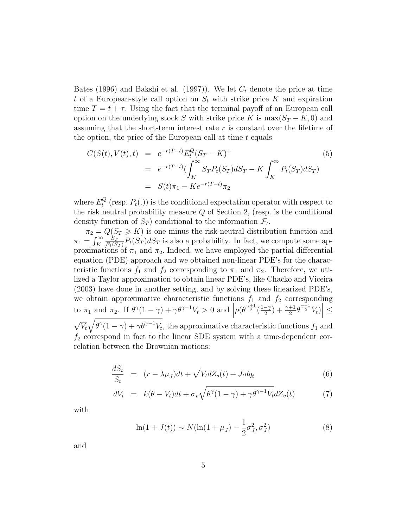Bates (1996) and Bakshi et al. (1997)). We let  $C_t$  denote the price at time t of a European-style call option on  $S_t$  with strike price K and expiration time  $T = t + \tau$ . Using the fact that the terminal payoff of an European call option on the underlying stock S with strike price K is  $\max(S_T - K, 0)$  and assuming that the short-term interest rate r is constant over the lifetime of the option, the price of the European call at time  $t$  equals

$$
C(S(t), V(t), t) = e^{-r(T-t)} E_t^Q (S_T - K)^+
$$
  
= 
$$
e^{-r(T-t)} \left( \int_K^\infty S_T P_t(S_T) dS_T - K \int_K^\infty P_t(S_T) dS_T \right)
$$
  
= 
$$
S(t)\pi_1 - Ke^{-r(T-t)}\pi_2
$$
 (5)

where  $E_t^Q$  $t_t^Q$  (resp.  $P_t(.)$ ) is the conditional expectation operator with respect to the risk neutral probability measure Q of Section 2, (resp. is the conditional density function of  $S_T$ ) conditional to the information  $\mathcal{F}_t$ .

 $\pi_2 = Q(S_T \geq K)$  is one minus the risk-neutral distribution function and  $\pi_1 = \int_K^\infty$  $S_{T}$  $\frac{S_T}{E_t(S_T)}P_t(S_T)dS_T$  is also a probability. In fact, we compute some approximations of  $\pi_1$  and  $\pi_2$ . Indeed, we have employed the partial differential equation (PDE) approach and we obtained non-linear PDE's for the characteristic functions  $f_1$  and  $f_2$  corresponding to  $\pi_1$  and  $\pi_2$ . Therefore, we utilized a Taylor approximation to obtain linear PDE's, like Chacko and Viceira (2003) have done in another setting, and by solving these linearized PDE's, we obtain approximative characteristic functions  $f_1$  and  $f_2$  corresponding to  $\pi_1$  and  $\pi_2$ . If  $\theta^{\gamma}(1-\gamma) + \gamma \theta^{\gamma-1} V_t > 0$  and  $\left| \rho(\theta^{\frac{\gamma+1}{2}})^{1-\gamma} \right|$  $\left|\frac{-\gamma}{2}\right|+\frac{\gamma+1}{2}\theta^{\frac{\gamma-1}{2}}V_t\big|\leq$  $\overline{V}_t\sqrt{\theta^\gamma(1-\gamma)+\gamma\theta^{\gamma-1}V_t}$ , the approximative characteristic functions  $f_1$  and  $f_2$  correspond in fact to the linear SDE system with a time-dependent correlation between the Brownian motions:

$$
\frac{dS_t}{S_t} = (r - \lambda \mu_J)dt + \sqrt{V_t}dZ_s(t) + J_t dq_t \tag{6}
$$

$$
dV_t = k(\theta - V_t)dt + \sigma_v \sqrt{\theta^{\gamma}(1 - \gamma) + \gamma \theta^{\gamma - 1} V_t} dZ_v(t)
$$
 (7)

with

$$
\ln(1 + J(t)) \sim N(\ln(1 + \mu_J) - \frac{1}{2}\sigma_J^2, \sigma_J^2)
$$
 (8)

and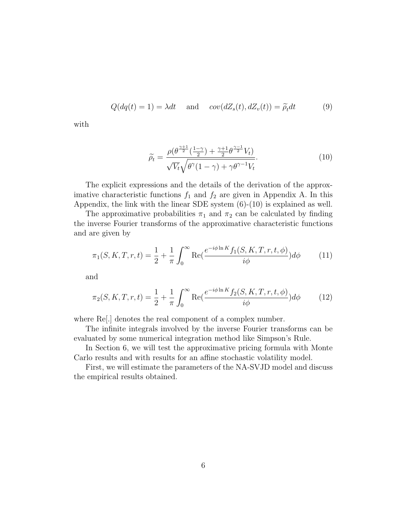$$
Q(dq(t) = 1) = \lambda dt \quad \text{and} \quad cov(dZ_s(t), dZ_v(t)) = \tilde{\rho}_t dt \tag{9}
$$

with

$$
\widetilde{\rho}_t = \frac{\rho(\theta^{\frac{\gamma+1}{2}}(\frac{1-\gamma}{2}) + \frac{\gamma+1}{2}\theta^{\frac{\gamma-1}{2}}V_t)}{\sqrt{V_t}\sqrt{\theta^{\gamma}(1-\gamma) + \gamma\theta^{\gamma-1}V_t}}.
$$
\n(10)

The explicit expressions and the details of the derivation of the approximative characteristic functions  $f_1$  and  $f_2$  are given in Appendix A. In this Appendix, the link with the linear SDE system (6)-(10) is explained as well.

The approximative probabilities  $\pi_1$  and  $\pi_2$  can be calculated by finding the inverse Fourier transforms of the approximative characteristic functions and are given by

$$
\pi_1(S, K, T, r, t) = \frac{1}{2} + \frac{1}{\pi} \int_0^\infty \text{Re}(\frac{e^{-i\phi \ln K} f_1(S, K, T, r, t, \phi)}{i\phi}) d\phi \tag{11}
$$

and

$$
\pi_2(S, K, T, r, t) = \frac{1}{2} + \frac{1}{\pi} \int_0^\infty \text{Re}(\frac{e^{-i\phi \ln K} f_2(S, K, T, r, t, \phi)}{i\phi}) d\phi \tag{12}
$$

where Re[.] denotes the real component of a complex number.

The infinite integrals involved by the inverse Fourier transforms can be evaluated by some numerical integration method like Simpson's Rule.

In Section 6, we will test the approximative pricing formula with Monte Carlo results and with results for an affine stochastic volatility model.

First, we will estimate the parameters of the NA-SVJD model and discuss the empirical results obtained.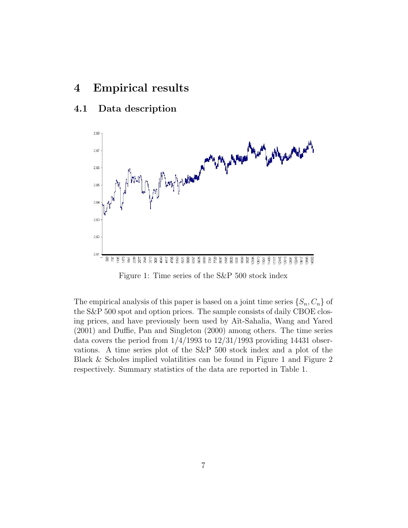## 4 Empirical results

### 4.1 Data description



Figure 1: Time series of the S&P 500 stock index

The empirical analysis of this paper is based on a joint time series  $\{S_n, C_n\}$  of the S&P 500 spot and option prices. The sample consists of daily CBOE closing prices, and have previously been used by Aït-Sahalia, Wang and Yared (2001) and Duffie, Pan and Singleton (2000) among others. The time series data covers the period from  $1/4/1993$  to  $12/31/1993$  providing 14431 observations. A time series plot of the S&P 500 stock index and a plot of the Black & Scholes implied volatilities can be found in Figure 1 and Figure 2 respectively. Summary statistics of the data are reported in Table 1.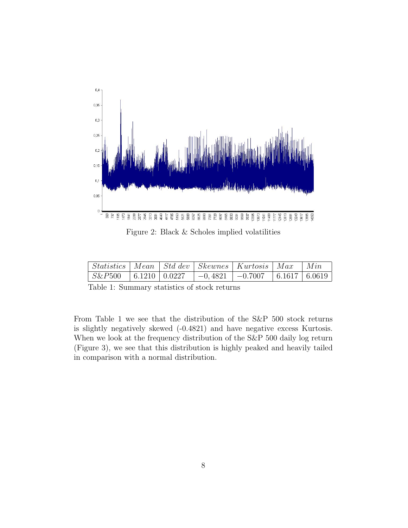

Figure 2: Black & Scholes implied volatilities

| Statistics   Mean   Std dev   Skewnes   Kurtosis   Max                                              |  |  | $\mid$ Min |
|-----------------------------------------------------------------------------------------------------|--|--|------------|
| $\mid S\&P500 \mid 6.12\overline{10} \mid 0.0227 \mid -0.4821 \mid -0.7007 \mid 6.1617 \mid 6.0619$ |  |  |            |

Table 1: Summary statistics of stock returns

From Table 1 we see that the distribution of the S&P 500 stock returns is slightly negatively skewed (-0.4821) and have negative excess Kurtosis. When we look at the frequency distribution of the S&P 500 daily log return (Figure 3), we see that this distribution is highly peaked and heavily tailed in comparison with a normal distribution.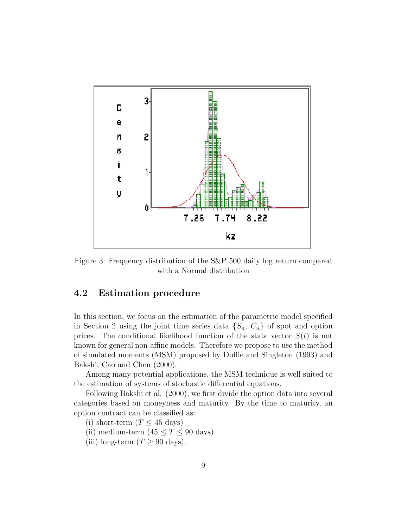

Figure 3: Frequency distribution of the S&P 500 daily log return compared with a Normal distribution

#### 4.2 Estimation procedure

In this section, we focus on the estimation of the parametric model specified in Section 2 using the joint time series data  $\{S_n, C_n\}$  of spot and option prices. The conditional likelihood function of the state vector  $S(t)$  is not known for general non-affine models. Therefore we propose to use the method of simulated moments (MSM) proposed by Duffie and Singleton (1993) and Bakshi, Cao and Chen (2000).

Among many potential applications, the MSM technique is well suited to the estimation of systems of stochastic differential equations.

Following Bakshi et al. (2000), we first divide the option data into several categories based on moneyness and maturity. By the time to maturity, an option contract can be classified as:

(i) short-term  $(T \leq 45 \text{ days})$ 

- (ii) medium-term  $(45 \le T \le 90 \text{ days})$
- (iii) long-term  $(T \geq 90 \text{ days}).$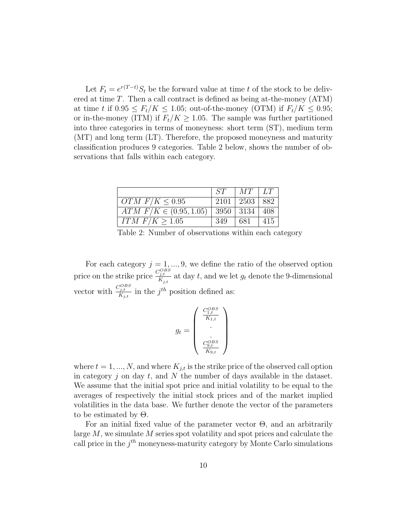Let  $F_t = e^{r(T-t)} S_t$  be the forward value at time t of the stock to be delivered at time  $T$ . Then a call contract is defined as being at-the-money  $(ATM)$ at time t if  $0.95 \leq F_t/K \leq 1.05$ ; out-of-the-money (OTM) if  $F_t/K \leq 0.95$ ; or in-the-money (ITM) if  $F_t/K \geq 1.05$ . The sample was further partitioned into three categories in terms of moneyness: short term (ST), medium term (MT) and long term (LT). Therefore, the proposed moneyness and maturity classification produces 9 categories. Table 2 below, shows the number of observations that falls within each category.

|                              | ST  | $MT \perp LT$             |     |
|------------------------------|-----|---------------------------|-----|
| OTM $F/K \leq 0.95$          |     | $2101 \mid 2503 \mid 882$ |     |
| $ATM$ $F/K \in (0.95, 1.05)$ |     | $3950$   3134   408       |     |
| $ITM \tF/K > 1.05$           | 349 | -681                      | 415 |

Table 2: Number of observations within each category

For each category  $j = 1, ..., 9$ , we define the ratio of the observed option price on the strike price  $\frac{C_{j,t}^{OBS}}{K_{j,t}}$  at day t, and we let  $g_t$  denote the 9-dimensional vector with  $\frac{C_{j,t}^{OBS}}{K_{j,t}}$  in the  $j^{th}$  position defined as:

$$
g_t = \begin{pmatrix} \frac{C_{1,t}^{OBS}}{K_{1,t}} \\ . \\ . \\ \frac{C_{9,t}^{OBS}}{K_{9,t}} \end{pmatrix}
$$

where  $t = 1, ..., N$ , and where  $K_{i,t}$  is the strike price of the observed call option in category j on day t, and N the number of days available in the dataset. We assume that the initial spot price and initial volatility to be equal to the averages of respectively the initial stock prices and of the market implied volatilities in the data base. We further denote the vector of the parameters to be estimated by Θ.

For an initial fixed value of the parameter vector  $\Theta$ , and an arbitrarily large  $M$ , we simulate  $M$  series spot volatility and spot prices and calculate the call price in the  $j<sup>th</sup>$  moneyness-maturity category by Monte Carlo simulations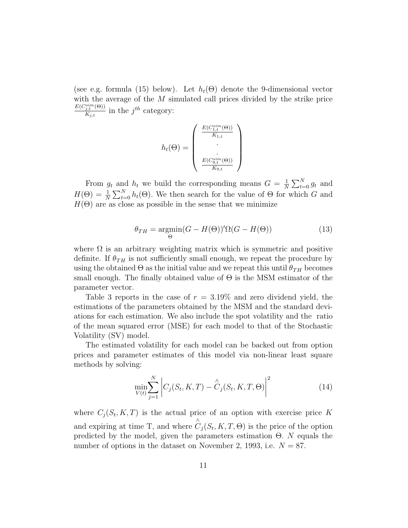(see e.g. formula (15) below). Let  $h_t(\Theta)$  denote the 9-dimensional vector with the average of the M simulated call prices divided by the strike price  $E(C_{j,t}^{sim}(\Theta))$  $\frac{\partial f_i}{\partial x_i(x)}$  in the  $j^{th}$  category:

$$
h_t(\Theta) = \begin{pmatrix} \frac{E(C_{1,t}^{sim}(\Theta))}{K_{1,t}} \\ \vdots \\ \frac{E(C_{9,t}^{sim}(\Theta))}{K_{9,t}} \end{pmatrix}
$$

From  $g_t$  and  $h_t$  we build the corresponding means  $G = \frac{1}{N}$  $\frac{1}{N} \sum_{t=0}^{N} g_t$  and  $H(\Theta) = \frac{1}{N} \sum_{t=0}^{N} h_t(\Theta)$ . We then search for the value of  $\Theta$  for which G and  $H(\Theta)$  are as close as possible in the sense that we minimize

$$
\theta_{TH} = \underset{\Theta}{\text{argmin}} (G - H(\Theta))' \Omega(G - H(\Theta)) \tag{13}
$$

where  $\Omega$  is an arbitrary weighting matrix which is symmetric and positive definite. If  $\theta_{TH}$  is not sufficiently small enough, we repeat the procedure by using the obtained  $\Theta$  as the initial value and we repeat this until  $\theta_{TH}$  becomes small enough. The finally obtained value of  $\Theta$  is the MSM estimator of the parameter vector.

Table 3 reports in the case of  $r = 3.19\%$  and zero dividend yield, the estimations of the parameters obtained by the MSM and the standard deviations for each estimation. We also include the spot volatility and the ratio of the mean squared error (MSE) for each model to that of the Stochastic Volatility (SV) model.

The estimated volatility for each model can be backed out from option prices and parameter estimates of this model via non-linear least square methods by solving:

$$
\min_{V(t)} \sum_{j=1}^{N} \left| C_j(S_t, K, T) - \hat{C}_j(S_t, K, T, \Theta) \right|^2
$$
\n(14)

where  $C_j(S_t, K, T)$  is the actual price of an option with exercise price K and expiring at time T, and where ∧  $C_j(S_t, K, T, \Theta)$  is the price of the option predicted by the model, given the parameters estimation  $\Theta$ . N equals the number of options in the dataset on November 2, 1993, i.e.  $N = 87$ .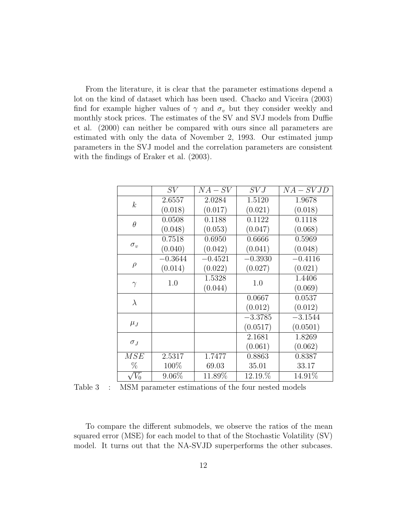From the literature, it is clear that the parameter estimations depend a lot on the kind of dataset which has been used. Chacko and Viceira (2003) find for example higher values of  $\gamma$  and  $\sigma_v$  but they consider weekly and monthly stock prices. The estimates of the SV and SVJ models from Duffie et al. (2000) can neither be compared with ours since all parameters are estimated with only the data of November 2, 1993. Our estimated jump parameters in the SVJ model and the correlation parameters are consistent with the findings of Eraker et al. (2003).

|                  | SV        | $NA-SV$   | SVJ       | $NA-SVJD$ |
|------------------|-----------|-----------|-----------|-----------|
| $\boldsymbol{k}$ | 2.6557    | 2.0284    | 1.5120    | 1.9678    |
|                  | (0.018)   | (0.017)   | (0.021)   | (0.018)   |
| $\theta$         | 0.0508    | 0.1188    | 0.1122    | 0.1118    |
|                  | (0.048)   | (0.053)   | (0.047)   | (0.068)   |
| $\sigma_v$       | 0.7518    | 0.6950    | 0.6666    | 0.5969    |
|                  | (0.040)   | (0.042)   | (0.041)   | (0.048)   |
| $\rho$           | $-0.3644$ | $-0.4521$ | $-0.3930$ | $-0.4116$ |
|                  | (0.014)   | (0.022)   | (0.027)   | (0.021)   |
| $\gamma$         | 1.0       | 1.5328    | 1.0       | 1.4406    |
|                  |           | (0.044)   |           | (0.069)   |
| $\lambda$        |           |           | 0.0667    | 0.0537    |
|                  |           |           | (0.012)   | (0.012)   |
| $\mu_J$          |           |           | $-3.3785$ | $-3.1544$ |
|                  |           |           | (0.0517)  | (0.0501)  |
| $\sigma_J$       |           |           | 2.1681    | 1.8269    |
|                  |           |           | (0.061)   | (0.062)   |
| MSE              | 2.5317    | 1.7477    | 0.8863    | 0.8387    |
| %                | 100%      | 69.03     | 35.01     | 33.17     |
| $\sqrt{V_0}$     | $9.06\%$  | 11.89%    | 12.19.%   | 14.91\%   |

Table 3 : MSM parameter estimations of the four nested models

To compare the different submodels, we observe the ratios of the mean squared error (MSE) for each model to that of the Stochastic Volatility (SV) model. It turns out that the NA-SVJD superperforms the other subcases.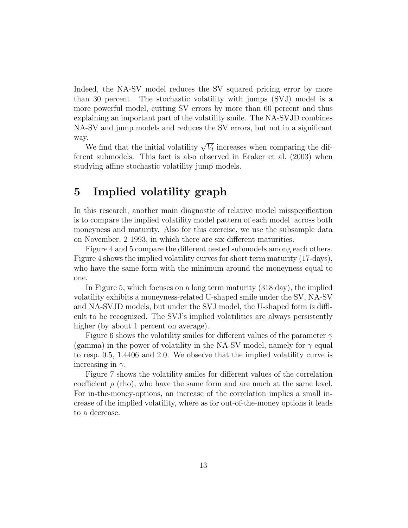Indeed, the NA-SV model reduces the SV squared pricing error by more than 30 percent. The stochastic volatility with jumps (SVJ) model is a more powerful model, cutting SV errors by more than 60 percent and thus explaining an important part of the volatility smile. The NA-SVJD combines NA-SV and jump models and reduces the SV errors, but not in a significant way.

.<br>We find that the initial volatility  $\sqrt{V_t}$  increases when comparing the different submodels. This fact is also observed in Eraker et al. (2003) when studying affine stochastic volatility jump models.

## 5 Implied volatility graph

In this research, another main diagnostic of relative model misspecification is to compare the implied volatility model pattern of each model across both moneyness and maturity. Also for this exercise, we use the subsample data on November, 2 1993, in which there are six different maturities.

Figure 4 and 5 compare the different nested submodels among each others. Figure 4 shows the implied volatility curves for short term maturity (17-days), who have the same form with the minimum around the moneyness equal to one.

In Figure 5, which focuses on a long term maturity (318 day), the implied volatility exhibits a moneyness-related U-shaped smile under the SV, NA-SV and NA-SVJD models, but under the SVJ model, the U-shaped form is difficult to be recognized. The SVJ's implied volatilities are always persistently higher (by about 1 percent on average).

Figure 6 shows the volatility smiles for different values of the parameter  $\gamma$ (gamma) in the power of volatility in the NA-SV model, namely for  $\gamma$  equal to resp. 0.5, 1.4406 and 2.0. We observe that the implied volatility curve is increasing in  $\gamma$ .

Figure 7 shows the volatility smiles for different values of the correlation coefficient  $\rho$  (rho), who have the same form and are much at the same level. For in-the-money-options, an increase of the correlation implies a small increase of the implied volatility, where as for out-of-the-money options it leads to a decrease.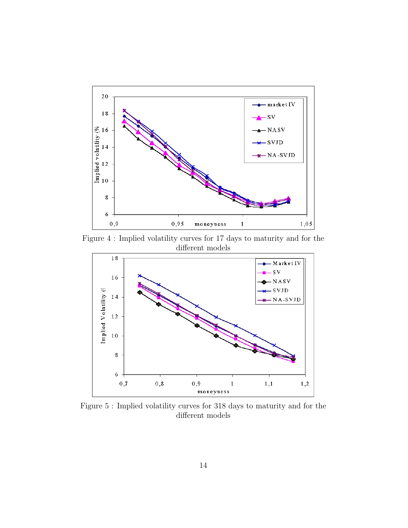

Figure 4 : Implied volatility curves for 17 days to maturity and for the different models



Figure 5 : Implied volatility curves for 318 days to maturity and for the different models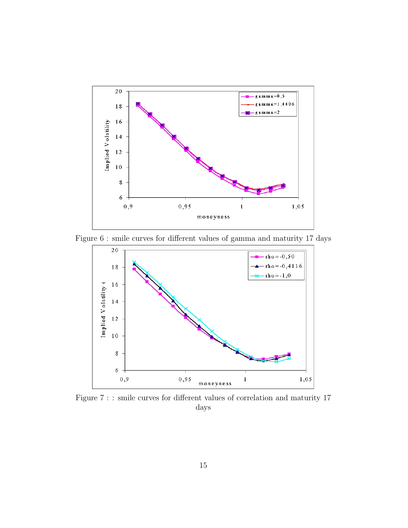

Figure 6 : smile curves for different values of gamma and maturity 17 days



Figure 7 : : smile curves for different values of correlation and maturity 17 days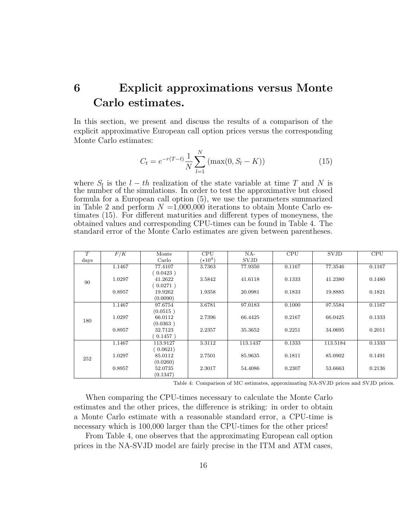## 6 Explicit approximations versus Monte Carlo estimates.

In this section, we present and discuss the results of a comparison of the explicit approximative European call option prices versus the corresponding Monte Carlo estimates:

$$
C_t = e^{-r(T-t)} \frac{1}{N} \sum_{l=1}^{N} (\max(0, S_l - K))
$$
 (15)

where  $S_l$  is the  $l - th$  realization of the state variable at time T and N is the number of the simulations. In order to test the approximative but closed formula for a European call option (5), we use the parameters summarized in Table 2 and perform  $N = 1,000,000$  iterations to obtain Monte Carlo estimates (15). For different maturities and different types of moneyness, the obtained values and corresponding CPU-times can be found in Table 4. The standard error of the Monte Carlo estimates are given between parentheses.

| T             | F/K    | Monte    | CPU       | $NA-$       | CPU    | <b>SVJD</b> | <b>CPU</b> |
|---------------|--------|----------|-----------|-------------|--------|-------------|------------|
| $_{\rm days}$ |        | Carlo    | $(*10^4)$ | <b>SVJD</b> |        |             |            |
| 90            | 1.1467 | 77.4107  | 3.7363    | 77.9350     | 0.1167 | 77.3546     | 0.1167     |
|               |        | (0.0423) |           |             |        |             |            |
|               | 1.0297 | 41.2622  | 3.5842    | 41.6118     | 0.1333 | 41.2380     | 0.1480     |
|               |        | (0.0271) |           |             |        |             |            |
|               | 0.8957 | 19.9262  | 1.9358    | 20.0981     | 0.1833 | 19.8885     | 0.1821     |
|               |        | (0.0090) |           |             |        |             |            |
| 180           | 1.1467 | 97.6754  | 3.6781    | 97.0183     | 0.1000 | 97.5584     | 0.1167     |
|               |        | (0.0515) |           |             |        |             |            |
|               | 1.0297 | 66.0112  | 2.7396    | 66.4425     | 0.2167 | 66.0425     | 0.1333     |
|               |        | (0.0363) |           |             |        |             |            |
|               | 0.8957 | 32.7123  | 2.2357    | 35.3652     | 0.2251 | 34.0695     | 0.2011     |
|               |        | 0.1457)  |           |             |        |             |            |
| 252           | 1.1467 | 113.9127 | 3.3112    | 113.1437    | 0.1333 | 113.5184    | 0.1333     |
|               |        | (0.0621) |           |             |        |             |            |
|               | 1.0297 | 85.0112  | 2.7501    | 85.9635     | 0.1811 | 85.0902     | 0.1491     |
|               |        | (0.0260) |           |             |        |             |            |
|               | 0.8957 | 52.0735  | 2.3017    | 54.4086     | 0.2307 | 53.6663     | 0.2136     |
|               |        | (0.1347) |           |             |        |             |            |

Table 4: Comparison of MC estimates, approximating NA-SVJD prices and SVJD prices.

When comparing the CPU-times necessary to calculate the Monte Carlo estimates and the other prices, the difference is striking: in order to obtain a Monte Carlo estimate with a reasonable standard error, a CPU-time is necessary which is 100,000 larger than the CPU-times for the other prices!

From Table 4, one observes that the approximating European call option prices in the NA-SVJD model are fairly precise in the ITM and ATM cases,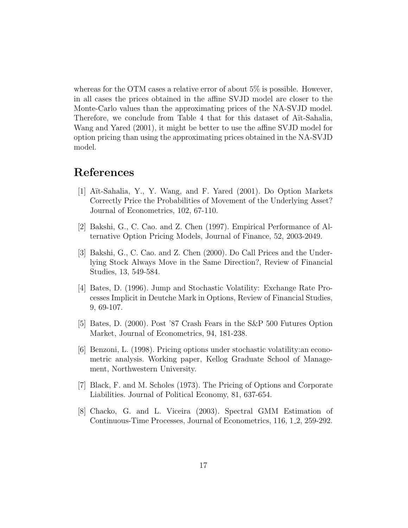whereas for the OTM cases a relative error of about 5\% is possible. However, in all cases the prices obtained in the affine SVJD model are closer to the Monte-Carlo values than the approximating prices of the NA-SVJD model. Therefore, we conclude from Table 4 that for this dataset of Ait-Sahalia, Wang and Yared (2001), it might be better to use the affine SVJD model for option pricing than using the approximating prices obtained in the NA-SVJD model.

### References

- [1] A¨ıt-Sahalia, Y., Y. Wang, and F. Yared (2001). Do Option Markets Correctly Price the Probabilities of Movement of the Underlying Asset? Journal of Econometrics, 102, 67-110.
- [2] Bakshi, G., C. Cao. and Z. Chen (1997). Empirical Performance of Alternative Option Pricing Models, Journal of Finance, 52, 2003-2049.
- [3] Bakshi, G., C. Cao. and Z. Chen (2000). Do Call Prices and the Underlying Stock Always Move in the Same Direction?, Review of Financial Studies, 13, 549-584.
- [4] Bates, D. (1996). Jump and Stochastic Volatility: Exchange Rate Processes Implicit in Deutche Mark in Options, Review of Financial Studies, 9, 69-107.
- [5] Bates, D. (2000). Post '87 Crash Fears in the S&P 500 Futures Option Market, Journal of Econometrics, 94, 181-238.
- [6] Benzoni, L. (1998). Pricing options under stochastic volatility:an econometric analysis. Working paper, Kellog Graduate School of Management, Northwestern University.
- [7] Black, F. and M. Scholes (1973). The Pricing of Options and Corporate Liabilities. Journal of Political Economy, 81, 637-654.
- [8] Chacko, G. and L. Viceira (2003). Spectral GMM Estimation of Continuous-Time Processes, Journal of Econometrics, 116, 1 2, 259-292.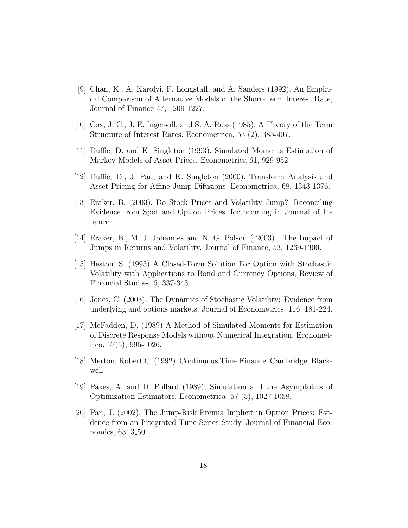- [9] Chan, K., A. Karolyi, F. Longstaff, and A. Sanders (1992). An Empirical Comparison of Alternative Models of the Short-Term Interest Rate, Journal of Finance 47, 1209-1227.
- [10] Cox, J. C., J. E. Ingersoll, and S. A. Ross (1985). A Theory of the Term Structure of Interest Rates. Econometrica, 53 (2), 385-407.
- [11] Duffie, D. and K. Singleton (1993). Simulated Moments Estimation of Markov Models of Asset Prices. Econometrica 61, 929-952.
- [12] Duffie, D., J. Pan, and K. Singleton (2000). Transform Analysis and Asset Pricing for Affine Jump-Difusions. Econometrica, 68, 1343-1376.
- [13] Eraker, B. (2003). Do Stock Prices and Volatility Jump? Reconciling Evidence from Spot and Option Prices. forthcoming in Journal of Finance.
- [14] Eraker, B., M. J. Johannes and N. G. Polson ( 2003). The Impact of Jumps in Returns and Volatility, Journal of Finance, 53, 1269-1300.
- [15] Heston, S. (1993) A Closed-Form Solution For Option with Stochastic Volatility with Applications to Bond and Currency Options, Review of Financial Studies, 6, 337-343.
- [16] Jones, C. (2003). The Dynamics of Stochastic Volatility: Evidence from underlying and options markets. Journal of Econometrics, 116, 181-224.
- [17] McFadden, D. (1989) A Method of Simulated Moments for Estimation of Discrete Response Models without Numerical Integration, Econometrica, 57(5), 995-1026.
- [18] Merton, Robert C. (1992). Continuous Time Finance. Cambridge, Blackwell.
- [19] Pakes, A. and D. Pollard (1989), Simulation and the Asymptotics of Optimization Estimators, Econometrica, 57 (5), 1027-1058.
- [20] Pan, J. (2002). The Jump-Risk Premia Implicit in Option Prices: Evidence from an Integrated Time-Series Study. Journal of Financial Economics, 63, 3 50.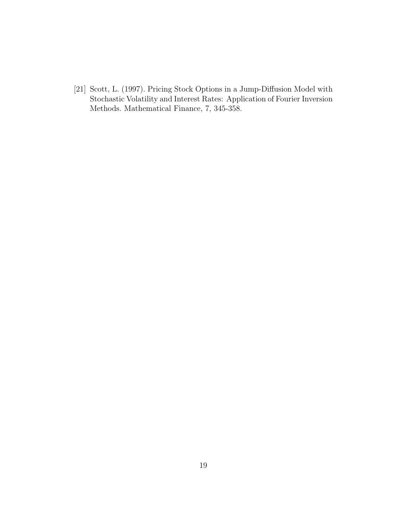[21] Scott, L. (1997). Pricing Stock Options in a Jump-Diffusion Model with Stochastic Volatility and Interest Rates: Application of Fourier Inversion Methods. Mathematical Finance, 7, 345-358.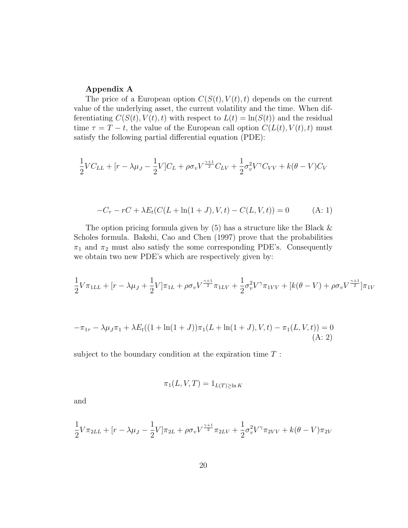#### Appendix A

The price of a European option  $C(S(t), V(t), t)$  depends on the current value of the underlying asset, the current volatility and the time. When differentiating  $C(S(t), V(t), t)$  with respect to  $L(t) = \ln(S(t))$  and the residual time  $\tau = T - t$ , the value of the European call option  $C(L(t), V(t), t)$  must satisfy the following partial differential equation (PDE):

$$
\frac{1}{2}VC_{LL} + [r - \lambda\mu_J - \frac{1}{2}V]C_L + \rho\sigma_vV^{\frac{\gamma+1}{2}}C_{LV} + \frac{1}{2}\sigma_v^2V^{\gamma}C_{VV} + k(\theta - V)C_V
$$

$$
-C_{\tau} - rC + \lambda E_t (C(L + \ln(1+J), V, t) - C(L, V, t)) = 0
$$
 (A: 1)

The option pricing formula given by  $(5)$  has a structure like the Black  $\&$ Scholes formula. Bakshi, Cao and Chen (1997) prove that the probabilities  $\pi_1$  and  $\pi_2$  must also satisfy the some corresponding PDE's. Consequently we obtain two new PDE's which are respectively given by:

$$
\frac{1}{2}V\pi_{1LL} + [r - \lambda\mu_J + \frac{1}{2}V]\pi_{1L} + \rho\sigma_vV^{\frac{\gamma+1}{2}}\pi_{1LV} + \frac{1}{2}\sigma_v^2V^{\gamma}\pi_{1VV} + [k(\theta - V) + \rho\sigma_vV^{\frac{\gamma+1}{2}}]\pi_{1V}
$$

$$
-\pi_{1\tau} - \lambda \mu_J \pi_1 + \lambda E_t ((1 + \ln(1 + J)) \pi_1 (L + \ln(1 + J), V, t) - \pi_1 (L, V, t)) = 0
$$
  
(A: 2)

subject to the boundary condition at the expiration time  $T$ :

$$
\pi_1(L, V, T) = 1_{L(T) \ge \ln K}
$$

and

$$
\frac{1}{2}V\pi_{2LL} + [r - \lambda\mu_J - \frac{1}{2}V]\pi_{2L} + \rho\sigma_vV^{\frac{\gamma+1}{2}}\pi_{2LV} + \frac{1}{2}\sigma_v^2V^{\gamma}\pi_{2VV} + k(\theta - V)\pi_{2V}
$$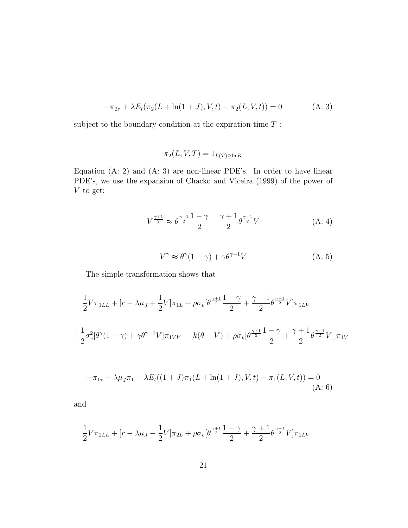$$
-\pi_{2\tau} + \lambda E_t(\pi_2(L + \ln(1+J), V, t) - \pi_2(L, V, t)) = 0
$$
 (A: 3)

subject to the boundary condition at the expiration time  $T$ :

$$
\pi_2(L, V, T) = 1_{L(T) \ge \ln K}
$$

Equation (A: 2) and (A: 3) are non-linear PDE's. In order to have linear PDE's, we use the expansion of Chacko and Viceira (1999) of the power of V to get:

$$
V^{\frac{\gamma+1}{2}} \approx \theta^{\frac{\gamma+1}{2}} \frac{1-\gamma}{2} + \frac{\gamma+1}{2} \theta^{\frac{\gamma-1}{2}} V \tag{A: 4}
$$

$$
V^{\gamma} \approx \theta^{\gamma} (1 - \gamma) + \gamma \theta^{\gamma - 1} V \tag{A: 5}
$$

The simple transformation shows that

$$
\frac{1}{2}V\pi_{1LL} + [r - \lambda\mu_J + \frac{1}{2}V]\pi_{1L} + \rho\sigma_v[\theta^{\frac{\gamma+1}{2}}\frac{1-\gamma}{2} + \frac{\gamma+1}{2}\theta^{\frac{\gamma-1}{2}}V]\pi_{1LV}
$$
  
+ 
$$
\frac{1}{2}\sigma_v^2[\theta^{\gamma}(1-\gamma) + \gamma\theta^{\gamma-1}V]\pi_{1VV} + [k(\theta - V) + \rho\sigma_v[\theta^{\frac{\gamma+1}{2}}\frac{1-\gamma}{2} + \frac{\gamma+1}{2}\theta^{\frac{\gamma-1}{2}}V]]\pi_{1V}
$$

$$
-\pi_{1\tau} - \lambda \mu_J \pi_1 + \lambda E_t((1+J)\pi_1(L+\ln(1+J),V,t) - \pi_1(L,V,t)) = 0
$$
\n(A: 6)

and

$$
\frac{1}{2}V\pi_{2LL} + [r - \lambda\mu_J - \frac{1}{2}V]\pi_{2L} + \rho\sigma_v[\theta^{\frac{\gamma+1}{2}}\frac{1-\gamma}{2} + \frac{\gamma+1}{2}\theta^{\frac{\gamma-1}{2}}V]\pi_{2LV}
$$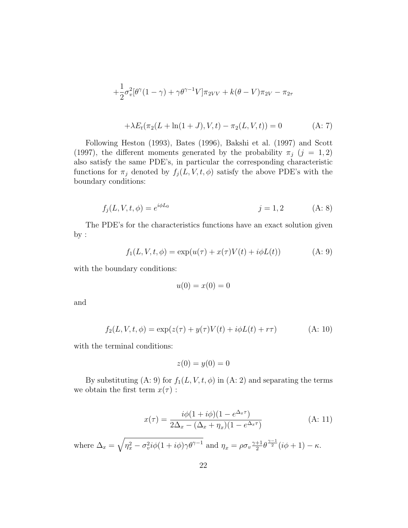$$
+\frac{1}{2}\sigma_v^2[\theta^{\gamma}(1-\gamma)+\gamma\theta^{\gamma-1}V]\pi_{2VV} + k(\theta - V)\pi_{2V} - \pi_{2\tau}
$$
  
 
$$
+\lambda E_t(\pi_2(L+\ln(1+J),V,t) - \pi_2(L,V,t)) = 0
$$
 (A: 7)

Following Heston (1993), Bates (1996), Bakshi et al. (1997) and Scott (1997), the different moments generated by the probability  $\pi_j$  (j = 1,2) also satisfy the same PDE's, in particular the corresponding characteristic functions for  $\pi_j$  denoted by  $f_j(L, V, t, \phi)$  satisfy the above PDE's with the boundary conditions:

$$
f_j(L, V, t, \phi) = e^{i\phi L_0} \qquad j = 1, 2 \qquad (A: 8)
$$

The PDE's for the characteristics functions have an exact solution given by :

$$
f_1(L, V, t, \phi) = \exp(u(\tau) + x(\tau)V(t) + i\phi L(t))
$$
 (A: 9)

with the boundary conditions:

$$
u(0) = x(0) = 0
$$

and

$$
f_2(L, V, t, \phi) = \exp(z(\tau) + y(\tau)V(t) + i\phi L(t) + r\tau)
$$
 (A: 10)

with the terminal conditions:

$$
z(0) = y(0) = 0
$$

By substituting (A: 9) for  $f_1(L, V, t, \phi)$  in (A: 2) and separating the terms we obtain the first term  $x(\tau)$ :

$$
x(\tau) = \frac{i\phi(1 + i\phi)(1 - e^{\Delta_x \tau})}{2\Delta_x - (\Delta_x + \eta_x)(1 - e^{\Delta_x \tau})}
$$
(A: 11)

where  $\Delta_x = \sqrt{\eta_x^2 - \sigma_v^2} i\phi (1 + i\phi) \gamma \theta^{\gamma - 1}$  and  $\eta_x = \rho \sigma_v \frac{\gamma + 1}{2}$  $\frac{+1}{2}\theta^{\frac{\gamma-1}{2}}(i\phi+1)-\kappa.$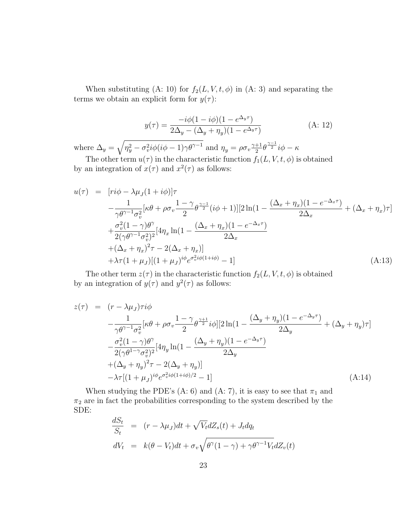When substituting (A: 10) for  $f_2(L, V, t, \phi)$  in (A: 3) and separating the terms we obtain an explicit form for  $y(\tau)$ :

$$
y(\tau) = \frac{-i\phi(1 - i\phi)(1 - e^{\Delta_y \tau})}{2\Delta_y - (\Delta_y + \eta_y)(1 - e^{\Delta_y \tau})}
$$
(A: 12)

where  $\Delta_y = \sqrt{\eta_y^2 - \sigma_v^2} i \phi (i \phi - 1) \gamma \theta^{\gamma - 1}$  and  $\eta_y = \rho \sigma_v \frac{\gamma + 1}{2}$  $\frac{+1}{2}\theta^{\frac{\gamma-1}{2}}i\phi-\kappa$ 

The other term  $u(\tau)$  in the characteristic function  $f_1(L, V, t, \phi)$  is obtained by an integration of  $x(\tau)$  and  $x^2(\tau)$  as follows:

$$
u(\tau) = [ri\phi - \lambda\mu_J(1 + i\phi)]\tau - \frac{1}{\gamma\theta^{\gamma-1}\sigma_v^2}[\kappa\theta + \rho\sigma_v \frac{1 - \gamma}{2}\theta^{\frac{\gamma-1}{2}}(i\phi + 1)][2\ln(1 - \frac{(\Delta_x + \eta_x)(1 - e^{-\Delta_x \tau})}{2\Delta_x} + (\Delta_x + \eta_x)\tau] + \frac{\sigma_v^2(1 - \gamma)\theta^{\gamma}}{2(\gamma\theta^{\gamma-1}\sigma_v^2)^2}[4\eta_x \ln(1 - \frac{(\Delta_x + \eta_x)(1 - e^{-\Delta_x \tau})}{2\Delta_x} + (\Delta_x + \eta_x)^2\tau - 2(\Delta_x + \eta_x)] + \lambda\tau(1 + \mu_J)[(1 + \mu_J)^{i\phi}e^{\sigma_v^2 i\phi(1 + i\phi)} - 1]
$$
(A:13)

The other term  $z(\tau)$  in the characteristic function  $f_2(L, V, t, \phi)$  is obtained by an integration of  $y(\tau)$  and  $y^2(\tau)$  as follows:

$$
z(\tau) = (r - \lambda \mu_J)\tau i\phi
$$
  
\n
$$
-\frac{1}{\gamma \theta^{\gamma - 1} \sigma_v^2} [\kappa \theta + \rho \sigma_v \frac{1 - \gamma \theta^{\gamma + 1}}{2} i\phi] [2 \ln(1 - \frac{(\Delta_y + \eta_y)(1 - e^{-\Delta_y \tau})}{2\Delta_y} + (\Delta_y + \eta_y)\tau]
$$
  
\n
$$
-\frac{\sigma_v^2 (1 - \gamma)\theta^{\gamma}}{2(\gamma \theta^{1 - \gamma} \sigma_v^2)^2} [4\eta_y \ln(1 - \frac{(\Delta_y + \eta_y)(1 - e^{-\Delta_y \tau})}{2\Delta_y}
$$
  
\n
$$
+(\Delta_y + \eta_y)^2 \tau - 2(\Delta_y + \eta_y)]
$$
  
\n
$$
-\lambda \tau [(1 + \mu_J)^{i\phi} e^{\sigma_v^2 i\phi(1 + i\phi)/2} - 1]
$$
  
\n(A:14)

When studying the PDE's (A: 6) and (A: 7), it is easy to see that  $\pi_1$  and  $\pi_2$  are in fact the probabilities corresponding to the system described by the SDE:

$$
\frac{dS_t}{S_t} = (r - \lambda \mu_J)dt + \sqrt{V_t}dZ_s(t) + J_t dq_t
$$
  

$$
dV_t = k(\theta - V_t)dt + \sigma_v \sqrt{\theta^{\gamma}(1 - \gamma) + \gamma \theta^{\gamma - 1} V_t}dZ_v(t)
$$